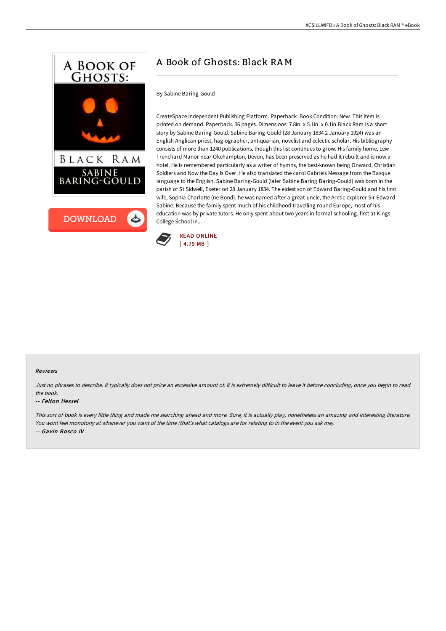



# A Book of Ghosts: Black RAM

## By Sabine Baring-Gould

CreateSpace Independent Publishing Platform. Paperback. Book Condition: New. This item is printed on demand. Paperback. 36 pages. Dimensions: 7.8in. x 5.1in. x 0.1in.Black Ram is a short story by Sabine Baring-Gould. Sabine Baring-Gould (28 January 1834 2 January 1924) was an English Anglican priest, hagiographer, antiquarian, novelist and eclectic scholar. His bibliography consists of more than 1240 publications, though this list continues to grow. His family home, Lew Trenchard Manor near Okehampton, Devon, has been preserved as he had it rebuilt and is now a hotel. He is remembered particularly as a writer of hymns, the best-known being Onward, Christian Soldiers and Now the Day Is Over. He also translated the carol Gabriels Message from the Basque language to the English. Sabine Baring-Gould (later Sabine Baring Baring-Gould) was born in the parish of St Sidwell, Exeter on 28 January 1834. The eldest son of Edward Baring-Gould and his first wife, Sophia Charlotte (ne Bond), he was named after a great-uncle, the Arctic explorer Sir Edward Sabine. Because the family spent much of his childhood travelling round Europe, most of his education was by private tutors. He only spent about two years in formal schooling, first at Kings College School in...



#### Reviews

Just no phrases to describe. It typically does not price an excessive amount of. It is extremely difficult to leave it before concluding, once you begin to read the book.

#### -- Felton Hessel

This sort of book is every little thing and made me searching ahead and more. Sure, it is actually play, nonetheless an amazing and interesting literature. You wont feel monotony at whenever you want of the time (that's what catalogs are for relating to in the event you ask me). -- Gavin Bosco IV